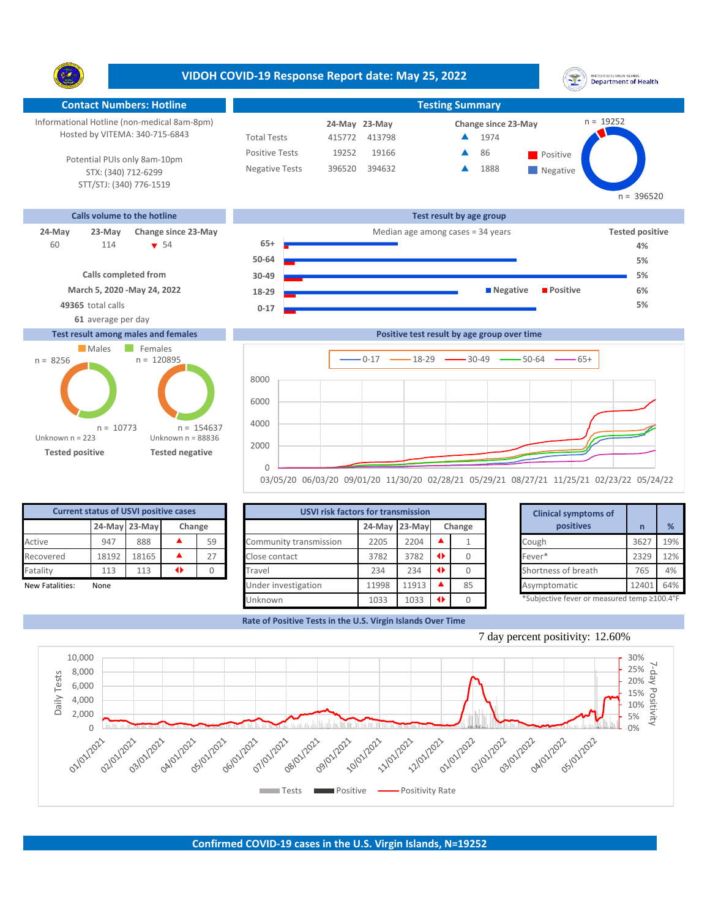|                                                                                                                                                                 |                                                                                          |                                                                      | VIDOH COVID-19 Response Report date: May 25, 2022                       |                                     |                                             | INITED STATES VIRGIN ISLANDS<br><b>Department of Health</b>             |
|-----------------------------------------------------------------------------------------------------------------------------------------------------------------|------------------------------------------------------------------------------------------|----------------------------------------------------------------------|-------------------------------------------------------------------------|-------------------------------------|---------------------------------------------|-------------------------------------------------------------------------|
| <b>Contact Numbers: Hotline</b>                                                                                                                                 |                                                                                          |                                                                      |                                                                         | <b>Testing Summary</b>              |                                             |                                                                         |
| Informational Hotline (non-medical 8am-8pm)<br>Hosted by VITEMA: 340-715-6843<br>Potential PUIs only 8am-10pm<br>STX: (340) 712-6299<br>STT/STJ: (340) 776-1519 |                                                                                          | <b>Total Tests</b><br><b>Positive Tests</b><br><b>Negative Tests</b> | 24-May 23-May<br>415772<br>413798<br>19252<br>19166<br>396520<br>394632 |                                     | Change since 23-May<br>1974<br>86<br>1888   | $n = 19252$<br>Positive<br>Negative<br>$n = 396520$                     |
| <b>Calls volume to the hotline</b>                                                                                                                              |                                                                                          |                                                                      |                                                                         | Test result by age group            |                                             |                                                                         |
| 24-May<br>23-May<br>60<br>114<br><b>Calls completed from</b><br>March 5, 2020 - May 24, 2022<br>49365 total calls<br>61 average per day                         | Change since 23-May<br>$\bullet$ 54                                                      | $65+$<br>50-64<br>30-49<br>18-29<br>$0 - 17$                         |                                                                         | Median age among cases $=$ 34 years | <b>Negative</b>                             | <b>Tested positive</b><br>4%<br>5%<br>5%<br><b>Positive</b><br>6%<br>5% |
| Test result among males and females                                                                                                                             |                                                                                          |                                                                      |                                                                         |                                     | Positive test result by age group over time |                                                                         |
| Males<br>$n = 8256$<br>$n = 10773$<br>Unknown $n = 223$<br><b>Tested positive</b>                                                                               | Females<br>$n = 120895$<br>$n = 154637$<br>Unknown $n = 88836$<br><b>Tested negative</b> | 8000<br>6000<br>4000<br>2000                                         |                                                                         | $-0.17$ - $-18.29$ - $-30.49$       | $-50-64$                                    | $-65+$                                                                  |
|                                                                                                                                                                 |                                                                                          | $\mathbf{0}$                                                         |                                                                         |                                     |                                             |                                                                         |

03/05/20 06/03/20 09/01/20 11/30/20 02/28/21 05/29/21 08/27/21 11/25/21 02/23/22 05/24/22

| <b>Current status of USVI positive cases</b> |       |               |        |    |  |  |  |  |  |
|----------------------------------------------|-------|---------------|--------|----|--|--|--|--|--|
|                                              |       | 24-May 23-May | Change |    |  |  |  |  |  |
| Active                                       | 947   | 888           |        | 59 |  |  |  |  |  |
| Recovered                                    | 18192 | 18165         |        | 27 |  |  |  |  |  |
| Fatality                                     | 113   | 113           |        |    |  |  |  |  |  |
| New Fatalities:                              | None  |               |        |    |  |  |  |  |  |

P)

|                 | <b>Current status of USVI positive cases</b> |               |   |        | <b>USVI risk factors for transmission</b> |               |       | <b>Clinical symptoms of</b> |        |                                             |      |     |
|-----------------|----------------------------------------------|---------------|---|--------|-------------------------------------------|---------------|-------|-----------------------------|--------|---------------------------------------------|------|-----|
|                 |                                              | 24-May 23-May |   | Change |                                           | 24-May 23-May |       |                             | Change | positives                                   |      | %   |
| Active          | 947                                          | 888           |   | 59     | Community transmission                    | 2205          | 2204  |                             |        | Cough                                       | 3627 | 19% |
| Recovered       | 18192                                        | 18165         |   | 27     | Close contact                             | 3782          | 3782  | $\rightarrow$               |        | Fever*                                      | 2329 | 12% |
| Fatality        | 113                                          | 113           | ◆ |        | Travel                                    | 234           | 234   | $\blacklozenge$             |        | Shortness of breath                         | 765  | 4%  |
| New Fatalities: | None                                         |               |   |        | Under investigation                       | 11998         | 11913 |                             | 85     | Asymptomatic                                | 1240 | 64% |
|                 |                                              |               |   |        | Unknown                                   | 1033          | 1033  |                             |        | *Subjective fever or measured temp ≥100.4°F |      |     |

**Rate of Positive Tests in the U.S. Virgin Islands Over Time**

|       | for transmission |   |        | <b>Clinical symptoms of</b>                 |       |     |
|-------|------------------|---|--------|---------------------------------------------|-------|-----|
|       | 24-May 23-May    |   | Change | positives                                   | n     | %   |
| 2205  | 2204             |   |        | Cough                                       | 3627  | 19% |
| 3782  | 3782             | ◆ | 0      | Fever*                                      | 2329  | 12% |
| 234   | 234              | ◆ |        | Shortness of breath                         | 765   | 4%  |
| 11998 | 11913            |   | 85     | Asymptomatic                                | 12401 | 64% |
| 1033  | 1033             | ◆ |        | *Subjective fever or measured temp ≥100.4°F |       |     |





**Confirmed COVID-19 cases in the U.S. Virgin Islands, N=19252**